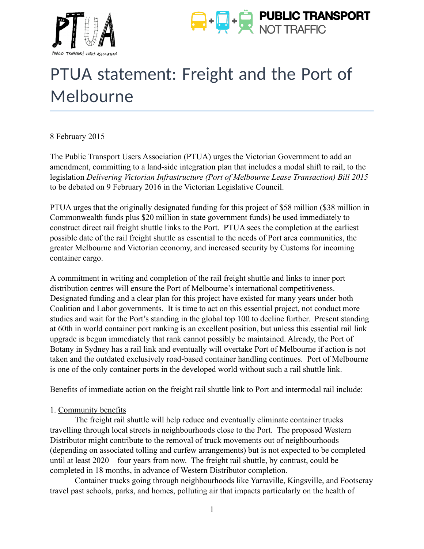



# PTUA statement: Freight and the Port of Melbourne

8 February 2015

The Public Transport Users Association (PTUA) urges the Victorian Government to add an amendment, committing to a land-side integration plan that includes a modal shift to rail, to the legislation *Delivering Victorian Infrastructure (Port of Melbourne Lease Transaction) Bill 2015* to be debated on 9 February 2016 in the Victorian Legislative Council.

PTUA urges that the originally designated funding for this project of \$58 million (\$38 million in Commonwealth funds plus \$20 million in state government funds) be used immediately to construct direct rail freight shuttle links to the Port. PTUA sees the completion at the earliest possible date of the rail freight shuttle as essential to the needs of Port area communities, the greater Melbourne and Victorian economy, and increased security by Customs for incoming container cargo.

A commitment in writing and completion of the rail freight shuttle and links to inner port distribution centres will ensure the Port of Melbourne's international competitiveness. Designated funding and a clear plan for this project have existed for many years under both Coalition and Labor governments. It is time to act on this essential project, not conduct more studies and wait for the Port's standing in the global top 100 to decline further. Present standing at 60th in world container port ranking is an excellent position, but unless this essential rail link upgrade is begun immediately that rank cannot possibly be maintained. Already, the Port of Botany in Sydney has a rail link and eventually will overtake Port of Melbourne if action is not taken and the outdated exclusively road-based container handling continues. Port of Melbourne is one of the only container ports in the developed world without such a rail shuttle link.

## Benefits of immediate action on the freight rail shuttle link to Port and intermodal rail include:

## 1. Community benefits

The freight rail shuttle will help reduce and eventually eliminate container trucks travelling through local streets in neighbourhoods close to the Port. The proposed Western Distributor might contribute to the removal of truck movements out of neighbourhoods (depending on associated tolling and curfew arrangements) but is not expected to be completed until at least 2020 – four years from now. The freight rail shuttle, by contrast, could be completed in 18 months, in advance of Western Distributor completion.

Container trucks going through neighbourhoods like Yarraville, Kingsville, and Footscray travel past schools, parks, and homes, polluting air that impacts particularly on the health of